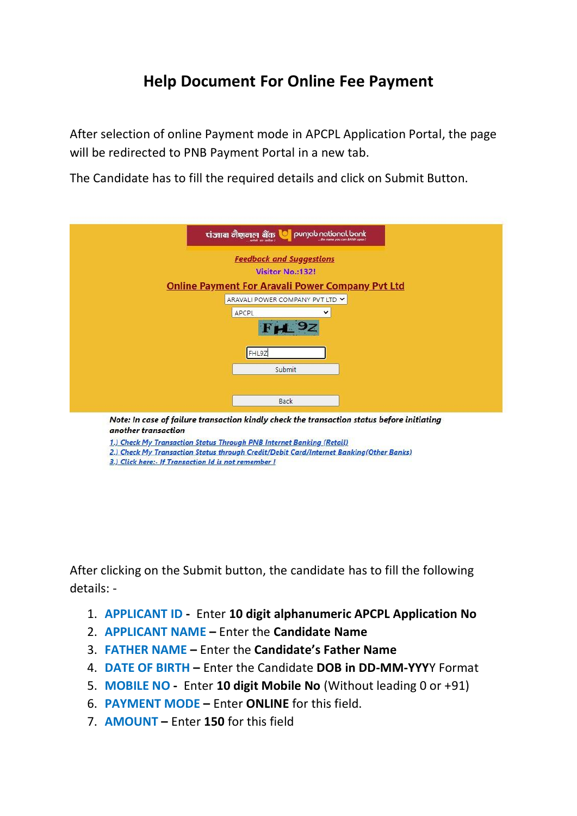## **Help Document For Online Fee Payment**

After selection of online Payment mode in APCPL Application Portal, the page will be redirected to PNB Payment Portal in a new tab.

The Candidate has to fill the required details and click on Submit Button.

|                                                         | <b>Feedback and Suggestions</b> |   |  |
|---------------------------------------------------------|---------------------------------|---|--|
|                                                         | Visitor No.:132!                |   |  |
| <b>Online Payment For Aravali Power Company Pvt Ltd</b> |                                 |   |  |
|                                                         | ARAVALI POWER COMPANY PVT LTD V |   |  |
| APCPL                                                   |                                 | ▽ |  |
|                                                         | FA 9z                           |   |  |
|                                                         | FHL9Z                           |   |  |
|                                                         | Submit                          |   |  |
|                                                         |                                 |   |  |
|                                                         | Back                            |   |  |

another transaction

1.) Check My Transaction Status Through PNB Internet Banking (Retail)

2.) Check My Transaction Status through Credit/Debit Card/Internet Banking(Other Banks)

3.) Click here:- If Transaction Id is not remember !

After clicking on the Submit button, the candidate has to fill the following details: -

- 1. **APPLICANT ID -** Enter **10 digit alphanumeric APCPL Application No**
- 2. **APPLICANT NAME –** Enter the **Candidate Name**
- 3. **FATHER NAME –** Enter the **Candidate's Father Name**
- 4. **DATE OF BIRTH –** Enter the Candidate **DOB in DD-MM-YYY**Y Format
- 5. **MOBILE NO -** Enter **10 digit Mobile No** (Without leading 0 or +91)
- 6. **PAYMENT MODE –** Enter **ONLINE** for this field.
- 7. **AMOUNT –** Enter **150** for this field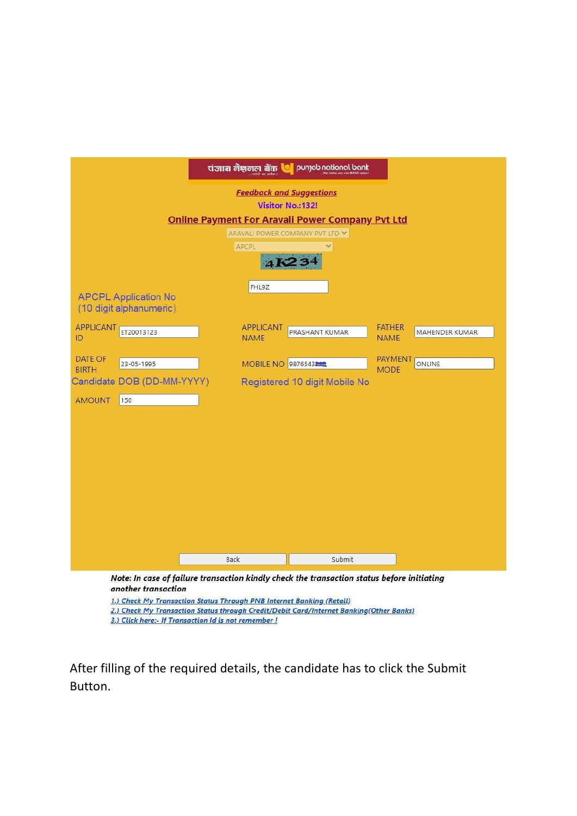|                  |                             |      | tiजाब नैशनल बैंक <b>C</b> | punjab national bank                                                                       |               |                       |
|------------------|-----------------------------|------|---------------------------|--------------------------------------------------------------------------------------------|---------------|-----------------------|
|                  |                             |      |                           |                                                                                            |               |                       |
|                  |                             |      |                           | <b>Feedback and Suggestions</b>                                                            |               |                       |
|                  |                             |      |                           | Visitor No.: 132!                                                                          |               |                       |
|                  |                             |      |                           | <b>Online Payment For Aravali Power Company Pvt Ltd</b>                                    |               |                       |
|                  |                             |      |                           | ARAVALI POWER COMPANY PVT LTD V                                                            |               |                       |
|                  |                             |      | APCPL                     |                                                                                            |               |                       |
|                  |                             |      | 4K                        |                                                                                            |               |                       |
|                  |                             |      | FHL9Z                     |                                                                                            |               |                       |
|                  | <b>APCPL Application No</b> |      |                           |                                                                                            |               |                       |
|                  | (10 digit alphanumeric)     |      |                           |                                                                                            |               |                       |
| <b>APPLICANT</b> | ET20013123                  |      | APPLICANT                 | PRASHANT KUMAR                                                                             | <b>FATHER</b> | <b>MAHENDER KUMAR</b> |
| ID               |                             |      | <b>NAME</b>               |                                                                                            | <b>NAME</b>   |                       |
| DATE OF          | 23-05-1995                  |      | MOBILE NO 9876543         |                                                                                            | PAYMENT       | ONLINE                |
| <b>BIRTH</b>     |                             |      |                           |                                                                                            | <b>MODE</b>   |                       |
|                  | Candidate DOB (DD-MM-YYYY)  |      |                           | Registered 10 digit Mobile No                                                              |               |                       |
| <b>AMOUNT</b>    | 150                         |      |                           |                                                                                            |               |                       |
|                  |                             |      |                           |                                                                                            |               |                       |
|                  |                             |      |                           |                                                                                            |               |                       |
|                  |                             |      |                           |                                                                                            |               |                       |
|                  |                             |      |                           |                                                                                            |               |                       |
|                  |                             |      |                           |                                                                                            |               |                       |
|                  |                             |      |                           |                                                                                            |               |                       |
|                  |                             |      |                           |                                                                                            |               |                       |
|                  |                             |      |                           |                                                                                            |               |                       |
|                  |                             |      |                           |                                                                                            |               |                       |
|                  |                             | Back |                           | Submit                                                                                     |               |                       |
|                  |                             |      |                           |                                                                                            |               |                       |
|                  | another transaction         |      |                           | Note: In case of failure transaction kindly check the transaction status before initiating |               |                       |
|                  |                             |      |                           | 1.) Check My Transaction Status Through PNB Internet Banking (Retail)                      |               |                       |
|                  |                             |      |                           | 2.) Check My Transaction Status through Credit/Debit Card/Internet Banking(Other Banks)    |               |                       |

3.) Click here:- If Transaction Id is not remember !

After filling of the required details, the candidate has to click the Submit Button.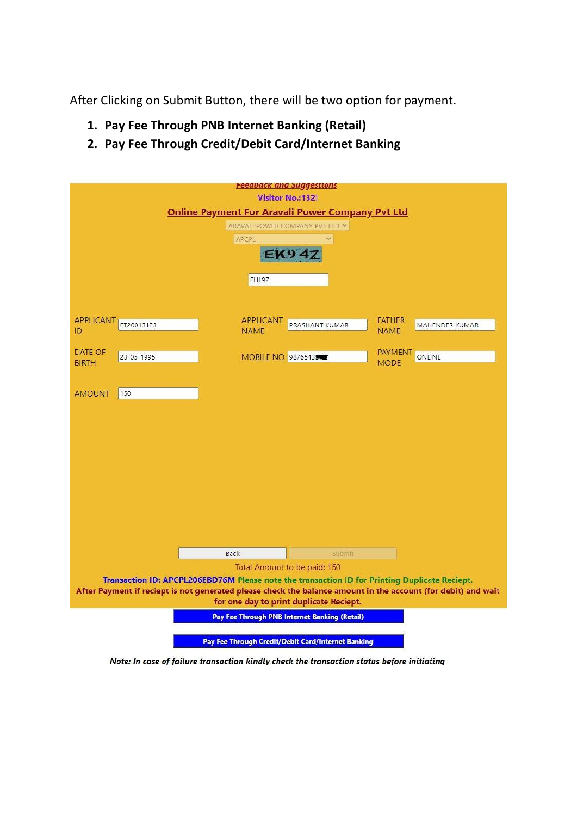After Clicking on Submit Button, there will be two option for payment.

- **1. Pay Fee Through PNB Internet Banking (Retail)**
- **2. Pay Fee Through Credit/Debit Card/Internet Banking**

|                                                                                                               |                                 | <u>Feeapack and Suggestions</u>                    |                                                |  |
|---------------------------------------------------------------------------------------------------------------|---------------------------------|----------------------------------------------------|------------------------------------------------|--|
| <b>Visitor No.:132!</b>                                                                                       |                                 |                                                    |                                                |  |
| <b>Online Payment For Aravali Power Company Pvt Ltd</b>                                                       |                                 |                                                    |                                                |  |
|                                                                                                               |                                 | ARAVALI POWER COMPANY PVT LTD ~                    |                                                |  |
|                                                                                                               | APCPL                           |                                                    |                                                |  |
|                                                                                                               |                                 | <b>EK94Z</b>                                       |                                                |  |
|                                                                                                               | FHL9Z                           |                                                    |                                                |  |
| <b>APPLICANT</b><br>ET20013123<br>ID                                                                          | <b>APPLICANT</b><br><b>NAME</b> | PRASHANT KUMAR                                     | <b>FATHER</b><br>MAHENDER KUMAR<br><b>NAME</b> |  |
|                                                                                                               |                                 |                                                    |                                                |  |
| DATE OF<br>23-05-1995<br><b>BIRTH</b>                                                                         |                                 | MOBILE NO 9876543                                  | <b>PAYMENT</b><br>ONLINE<br><b>MODE</b>        |  |
| <b>AMOUNT</b><br>150                                                                                          |                                 |                                                    |                                                |  |
|                                                                                                               |                                 |                                                    |                                                |  |
|                                                                                                               |                                 |                                                    |                                                |  |
|                                                                                                               |                                 |                                                    |                                                |  |
|                                                                                                               |                                 |                                                    |                                                |  |
|                                                                                                               |                                 |                                                    |                                                |  |
|                                                                                                               | Back                            | Submit                                             |                                                |  |
| Total Amount to be paid: 150                                                                                  |                                 |                                                    |                                                |  |
| Transaction ID: APCPL206EBD76M Please note the transaction ID for Printing Duplicate Reciept.                 |                                 |                                                    |                                                |  |
| After Payment if reciept is not generated please check the balance amount in the account (for debit) and wait |                                 |                                                    |                                                |  |
| for one day to print duplicate Reciept.                                                                       |                                 |                                                    |                                                |  |
| Pay Fee Through PNB Internet Banking (Retail)                                                                 |                                 |                                                    |                                                |  |
|                                                                                                               |                                 |                                                    |                                                |  |
|                                                                                                               |                                 | Pay Fee Through Credit/Debit Card/Internet Banking |                                                |  |

Note: In case of failure transaction kindly check the transaction status before initiating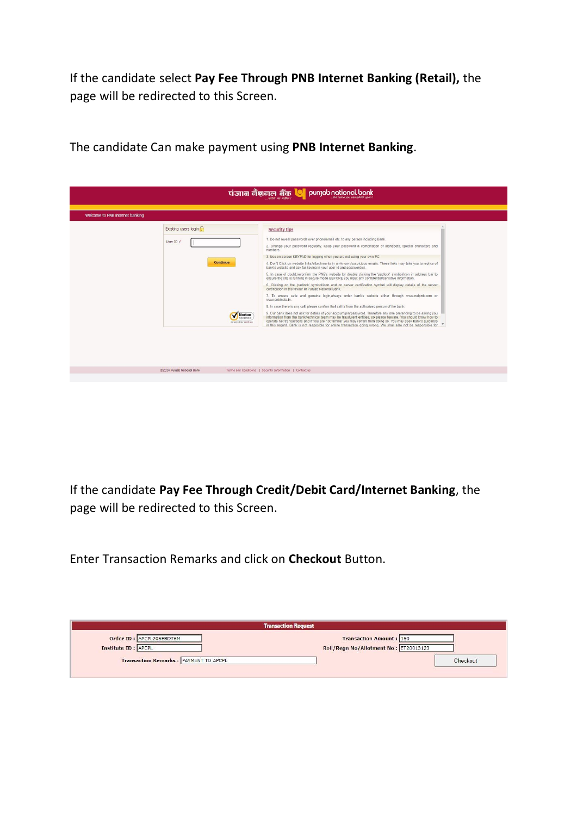If the candidate select **Pay Fee Through PNB Internet Banking (Retail),** the page will be redirected to this Screen.

| tiज्ञान नैशनल नैंक <b>©</b> punjab national bank                                                        |                                                                                                                                                                                                                                                                                                                                                                                                                                                                                                                                                                                                                                                                                                                                                                                                                                                                                                                                                                                                                                                                                                                                                                                                                                                                                                                                                                                                                                                                                                                                                                                                                    |  |  |  |
|---------------------------------------------------------------------------------------------------------|--------------------------------------------------------------------------------------------------------------------------------------------------------------------------------------------------------------------------------------------------------------------------------------------------------------------------------------------------------------------------------------------------------------------------------------------------------------------------------------------------------------------------------------------------------------------------------------------------------------------------------------------------------------------------------------------------------------------------------------------------------------------------------------------------------------------------------------------------------------------------------------------------------------------------------------------------------------------------------------------------------------------------------------------------------------------------------------------------------------------------------------------------------------------------------------------------------------------------------------------------------------------------------------------------------------------------------------------------------------------------------------------------------------------------------------------------------------------------------------------------------------------------------------------------------------------------------------------------------------------|--|--|--|
| Welcome to PNB internet banking                                                                         |                                                                                                                                                                                                                                                                                                                                                                                                                                                                                                                                                                                                                                                                                                                                                                                                                                                                                                                                                                                                                                                                                                                                                                                                                                                                                                                                                                                                                                                                                                                                                                                                                    |  |  |  |
| Existing users login<br>User ID:*<br><b>Continue</b><br>Norton<br><b>SECURED</b><br>powered by VeriSion | <b>Security tips</b><br>1. Do not reveal passwords over phone/email etc. to any person including Bank.<br>2. Change your password regularly. Keep your password a combination of alphabets, special characters and<br>numbers<br>3. Use on-screen KEYPAD for logging when you are not using your own PC.<br>4. Don't Click on website links/attachments in un-known/suspicious emails. These links may take you to replica of<br>bank's website and ask for keying in your user-id and password(s).<br>5. In case of doubt.reconfirm the PNB's website by double clicking the 'padlock' symbol/icon in address bar to<br>ensure the site is running in secure mode BEFORE you input any confidential/sensitive information.<br>6. Clicking on the 'padlock' symbol/icon and on server certification symbol will display details of the server<br>certification in the favour of Punjab National Bank.<br>7. To ensure safe and genuine login, always enter bank's website either through www.netpnb.com or<br>www.pnbindia.in.<br>8. In case there is any call, please confirm that call is from the authorized person of the bank.<br>9. Our bank does not ask for details of your account/pin/password. Therefore any one pretending to be asking you<br>information from the bank/technical team may be fraudulent entities, so please beware. You should know how to<br>operate net transactions and if you are not familiar you may refrain from doing so. You may seek bank's guidance<br>in this regard. Bank is not resposible for online transaction going wrong. We shall also not be responsible for \" |  |  |  |
| ©2014 Punjab National Bank                                                                              | Terms and Conditions   Security Information   Contact us                                                                                                                                                                                                                                                                                                                                                                                                                                                                                                                                                                                                                                                                                                                                                                                                                                                                                                                                                                                                                                                                                                                                                                                                                                                                                                                                                                                                                                                                                                                                                           |  |  |  |
|                                                                                                         |                                                                                                                                                                                                                                                                                                                                                                                                                                                                                                                                                                                                                                                                                                                                                                                                                                                                                                                                                                                                                                                                                                                                                                                                                                                                                                                                                                                                                                                                                                                                                                                                                    |  |  |  |

The candidate Can make payment using **PNB Internet Banking**.

If the candidate **Pay Fee Through Credit/Debit Card/Internet Banking**, the page will be redirected to this Screen.

Enter Transaction Remarks and click on **Checkout** Button.

|                                                  | <b>Transaction Request</b>                                              |
|--------------------------------------------------|-------------------------------------------------------------------------|
| Order ID: APCPL206EBD76M<br>Institute ID : APCPL | <b>Transaction Amount: 150</b><br>Roll/Regn No/Allotment No: ET20013123 |
| Transaction Remarks : PAYMENT TO APCPL           | Checkout                                                                |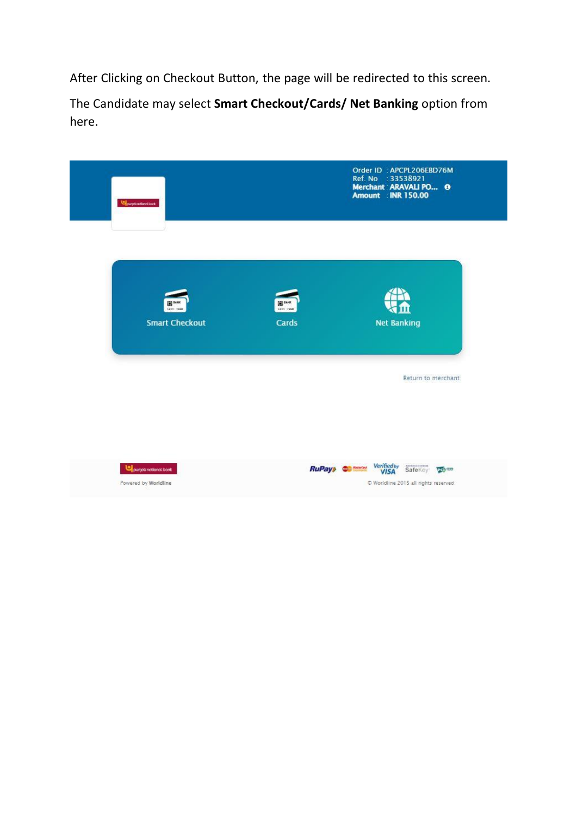After Clicking on Checkout Button, the page will be redirected to this screen.

The Candidate may select **Smart Checkout/Cards/ Net Banking** option from here.